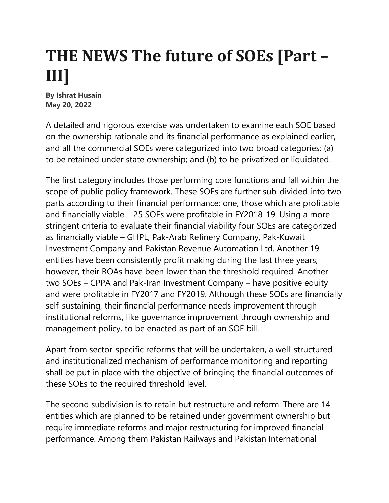## **THE NEWS The future of SOEs [Part – III]**

**By Ishrat Husain May 20, 2022** 

A detailed and rigorous exercise was undertaken to examine each SOE based on the ownership rationale and its financial performance as explained earlier, and all the commercial SOEs were categorized into two broad categories: (a) to be retained under state ownership; and (b) to be privatized or liquidated.

The first category includes those performing core functions and fall within the scope of public policy framework. These SOEs are further sub-divided into two parts according to their financial performance: one, those which are profitable and financially viable – 25 SOEs were profitable in FY2018-19. Using a more stringent criteria to evaluate their financial viability four SOEs are categorized as financially viable – GHPL, Pak-Arab Refinery Company, Pak-Kuwait Investment Company and Pakistan Revenue Automation Ltd. Another 19 entities have been consistently profit making during the last three years; however, their ROAs have been lower than the threshold required. Another two SOEs – CPPA and Pak-Iran Investment Company – have positive equity and were profitable in FY2017 and FY2019. Although these SOEs are financially self-sustaining, their financial performance needs improvement through institutional reforms, like governance improvement through ownership and management policy, to be enacted as part of an SOE bill.

Apart from sector-specific reforms that will be undertaken, a well-structured and institutionalized mechanism of performance monitoring and reporting shall be put in place with the objective of bringing the financial outcomes of these SOEs to the required threshold level.

The second subdivision is to retain but restructure and reform. There are 14 entities which are planned to be retained under government ownership but require immediate reforms and major restructuring for improved financial performance. Among them Pakistan Railways and Pakistan International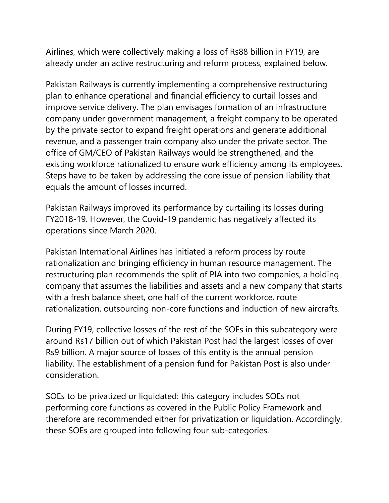Airlines, which were collectively making a loss of Rs88 billion in FY19, are already under an active restructuring and reform process, explained below.

Pakistan Railways is currently implementing a comprehensive restructuring plan to enhance operational and financial efficiency to curtail losses and improve service delivery. The plan envisages formation of an infrastructure company under government management, a freight company to be operated by the private sector to expand freight operations and generate additional revenue, and a passenger train company also under the private sector. The office of GM/CEO of Pakistan Railways would be strengthened, and the existing workforce rationalized to ensure work efficiency among its employees. Steps have to be taken by addressing the core issue of pension liability that equals the amount of losses incurred.

Pakistan Railways improved its performance by curtailing its losses during FY2018-19. However, the Covid-19 pandemic has negatively affected its operations since March 2020.

Pakistan International Airlines has initiated a reform process by route rationalization and bringing efficiency in human resource management. The restructuring plan recommends the split of PIA into two companies, a holding company that assumes the liabilities and assets and a new company that starts with a fresh balance sheet, one half of the current workforce, route rationalization, outsourcing non-core functions and induction of new aircrafts.

During FY19, collective losses of the rest of the SOEs in this subcategory were around Rs17 billion out of which Pakistan Post had the largest losses of over Rs9 billion. A major source of losses of this entity is the annual pension liability. The establishment of a pension fund for Pakistan Post is also under consideration.

SOEs to be privatized or liquidated: this category includes SOEs not performing core functions as covered in the Public Policy Framework and therefore are recommended either for privatization or liquidation. Accordingly, these SOEs are grouped into following four sub-categories.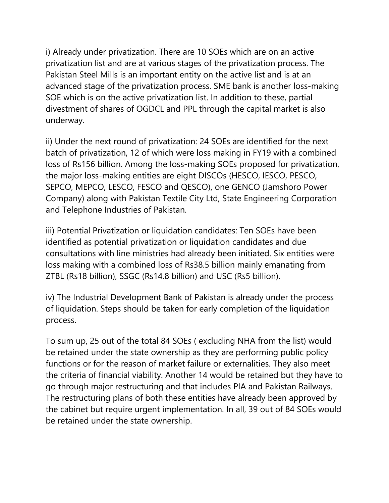i) Already under privatization. There are 10 SOEs which are on an active privatization list and are at various stages of the privatization process. The Pakistan Steel Mills is an important entity on the active list and is at an advanced stage of the privatization process. SME bank is another loss-making SOE which is on the active privatization list. In addition to these, partial divestment of shares of OGDCL and PPL through the capital market is also underway.

ii) Under the next round of privatization: 24 SOEs are identified for the next batch of privatization, 12 of which were loss making in FY19 with a combined loss of Rs156 billion. Among the loss-making SOEs proposed for privatization, the major loss-making entities are eight DISCOs (HESCO, IESCO, PESCO, SEPCO, MEPCO, LESCO, FESCO and QESCO), one GENCO (Jamshoro Power Company) along with Pakistan Textile City Ltd, State Engineering Corporation and Telephone Industries of Pakistan.

iii) Potential Privatization or liquidation candidates: Ten SOEs have been identified as potential privatization or liquidation candidates and due consultations with line ministries had already been initiated. Six entities were loss making with a combined loss of Rs38.5 billion mainly emanating from ZTBL (Rs18 billion), SSGC (Rs14.8 billion) and USC (Rs5 billion).

iv) The Industrial Development Bank of Pakistan is already under the process of liquidation. Steps should be taken for early completion of the liquidation process.

To sum up, 25 out of the total 84 SOEs ( excluding NHA from the list) would be retained under the state ownership as they are performing public policy functions or for the reason of market failure or externalities. They also meet the criteria of financial viability. Another 14 would be retained but they have to go through major restructuring and that includes PIA and Pakistan Railways. The restructuring plans of both these entities have already been approved by the cabinet but require urgent implementation. In all, 39 out of 84 SOEs would be retained under the state ownership.